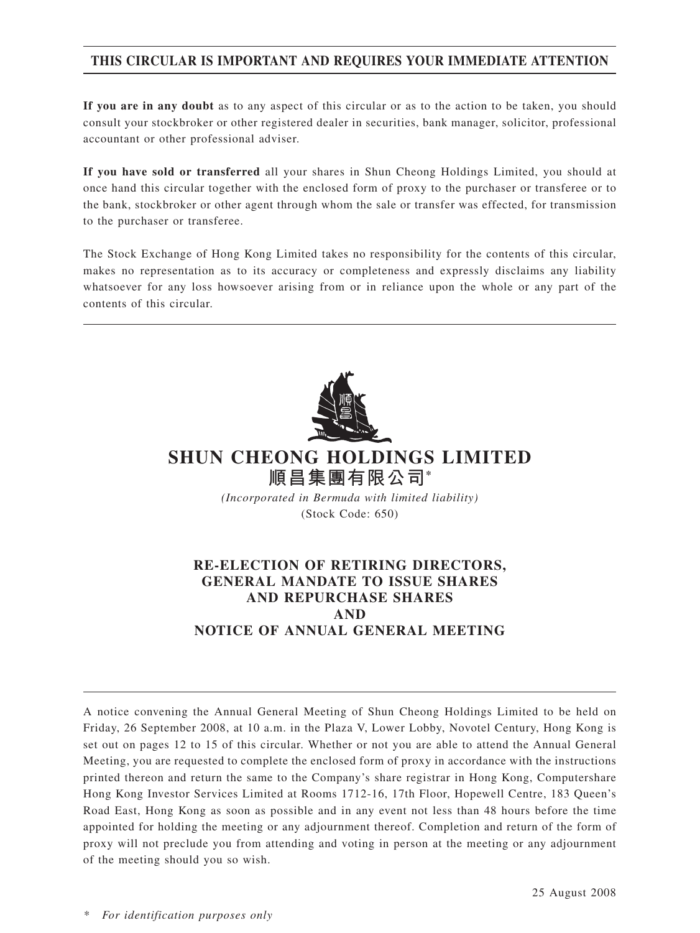## **THIS CIRCULAR IS IMPORTANT AND REQUIRES YOUR IMMEDIATE ATTENTION**

**If you are in any doubt** as to any aspect of this circular or as to the action to be taken, you should consult your stockbroker or other registered dealer in securities, bank manager, solicitor, professional accountant or other professional adviser.

**If you have sold or transferred** all your shares in Shun Cheong Holdings Limited, you should at once hand this circular together with the enclosed form of proxy to the purchaser or transferee or to the bank, stockbroker or other agent through whom the sale or transfer was effected, for transmission to the purchaser or transferee.

The Stock Exchange of Hong Kong Limited takes no responsibility for the contents of this circular, makes no representation as to its accuracy or completeness and expressly disclaims any liability whatsoever for any loss howsoever arising from or in reliance upon the whole or any part of the contents of this circular.



# **SHUN CHEONG HOLDINGS LIMITED 順昌集團有限公司\***

*(Incorporated in Bermuda with limited liability)* (Stock Code: 650)

## **RE-ELECTION OF RETIRING DIRECTORS, GENERAL MANDATE TO ISSUE SHARES AND REPURCHASE SHARES AND NOTICE OF ANNUAL GENERAL MEETING**

A notice convening the Annual General Meeting of Shun Cheong Holdings Limited to be held on Friday, 26 September 2008, at 10 a.m. in the Plaza V, Lower Lobby, Novotel Century, Hong Kong is set out on pages 12 to 15 of this circular. Whether or not you are able to attend the Annual General Meeting, you are requested to complete the enclosed form of proxy in accordance with the instructions printed thereon and return the same to the Company's share registrar in Hong Kong, Computershare Hong Kong Investor Services Limited at Rooms 1712-16, 17th Floor, Hopewell Centre, 183 Queen's Road East, Hong Kong as soon as possible and in any event not less than 48 hours before the time appointed for holding the meeting or any adjournment thereof. Completion and return of the form of proxy will not preclude you from attending and voting in person at the meeting or any adjournment of the meeting should you so wish.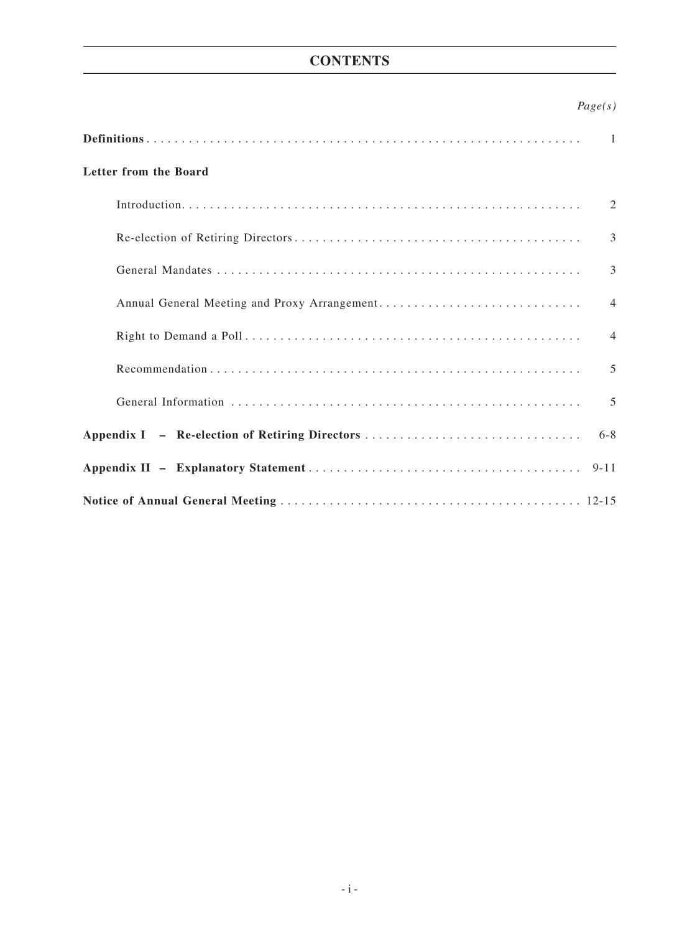## **CONTENTS**

## *Page(s)*

|                                                | $\overline{1}$ |
|------------------------------------------------|----------------|
| Letter from the Board                          |                |
|                                                | 2              |
|                                                | 3              |
|                                                | 3              |
|                                                | $\overline{4}$ |
|                                                | $\overline{4}$ |
|                                                | $\overline{5}$ |
|                                                | 5              |
| Appendix I – Re-election of Retiring Directors | $6 - 8$        |
|                                                | $9 - 11$       |
|                                                |                |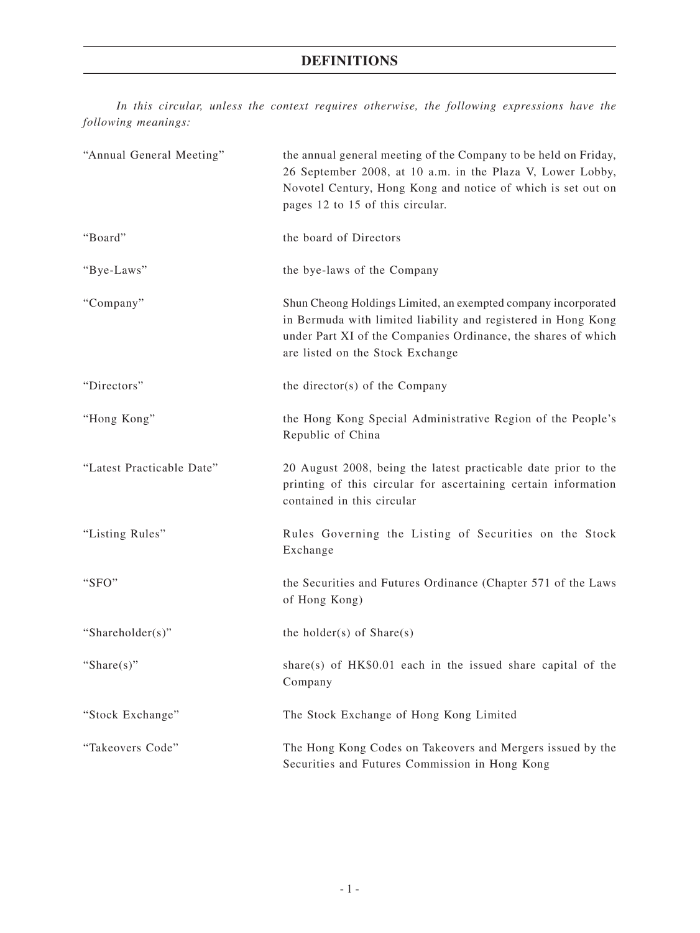## **DEFINITIONS**

*In this circular, unless the context requires otherwise, the following expressions have the following meanings:*

| "Annual General Meeting"  | the annual general meeting of the Company to be held on Friday,<br>26 September 2008, at 10 a.m. in the Plaza V, Lower Lobby,<br>Novotel Century, Hong Kong and notice of which is set out on<br>pages 12 to 15 of this circular.    |
|---------------------------|--------------------------------------------------------------------------------------------------------------------------------------------------------------------------------------------------------------------------------------|
| "Board"                   | the board of Directors                                                                                                                                                                                                               |
| "Bye-Laws"                | the bye-laws of the Company                                                                                                                                                                                                          |
| "Company"                 | Shun Cheong Holdings Limited, an exempted company incorporated<br>in Bermuda with limited liability and registered in Hong Kong<br>under Part XI of the Companies Ordinance, the shares of which<br>are listed on the Stock Exchange |
| "Directors"               | the director(s) of the Company                                                                                                                                                                                                       |
| "Hong Kong"               | the Hong Kong Special Administrative Region of the People's<br>Republic of China                                                                                                                                                     |
| "Latest Practicable Date" | 20 August 2008, being the latest practicable date prior to the<br>printing of this circular for ascertaining certain information<br>contained in this circular                                                                       |
| "Listing Rules"           | Rules Governing the Listing of Securities on the Stock<br>Exchange                                                                                                                                                                   |
| "SFO"                     | the Securities and Futures Ordinance (Chapter 571 of the Laws<br>of Hong Kong)                                                                                                                                                       |
| "Shareholder(s)"          | the holder(s) of $Share(s)$                                                                                                                                                                                                          |
| "Share $(s)$ "            | share(s) of HK\$0.01 each in the issued share capital of the<br>Company                                                                                                                                                              |
| "Stock Exchange"          | The Stock Exchange of Hong Kong Limited                                                                                                                                                                                              |
| "Takeovers Code"          | The Hong Kong Codes on Takeovers and Mergers issued by the<br>Securities and Futures Commission in Hong Kong                                                                                                                         |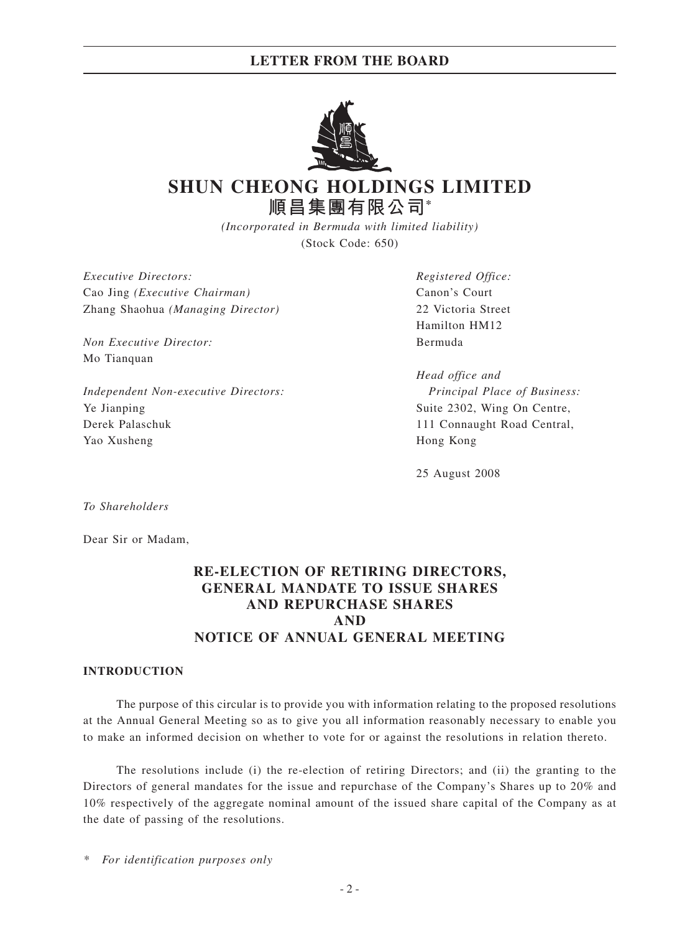## **LETTER FROM THE BOARD**



# **SHUN CHEONG HOLDINGS LIMITED 順昌集團有限公司\***

*(Incorporated in Bermuda with limited liability)* (Stock Code: 650)

*Executive Directors: Registered Office:* Cao Jing *(Executive Chairman)* Canon's Court Zhang Shaohua *(Managing Director)* 22 Victoria Street

*Non Executive Director:* Bermuda Mo Tianquan

*Independent Non-executive Directors: Principal Place of Business:* Ye Jianping Suite 2302, Wing On Centre, Derek Palaschuk 111 Connaught Road Central, Yao Xusheng Hong Kong

Hamilton HM12

*Head office and*

25 August 2008

*To Shareholders*

Dear Sir or Madam,

## **RE-ELECTION OF RETIRING DIRECTORS, GENERAL MANDATE TO ISSUE SHARES AND REPURCHASE SHARES AND NOTICE OF ANNUAL GENERAL MEETING**

#### **INTRODUCTION**

The purpose of this circular is to provide you with information relating to the proposed resolutions at the Annual General Meeting so as to give you all information reasonably necessary to enable you to make an informed decision on whether to vote for or against the resolutions in relation thereto.

The resolutions include (i) the re-election of retiring Directors; and (ii) the granting to the Directors of general mandates for the issue and repurchase of the Company's Shares up to 20% and 10% respectively of the aggregate nominal amount of the issued share capital of the Company as at the date of passing of the resolutions.

*\* For identification purposes only*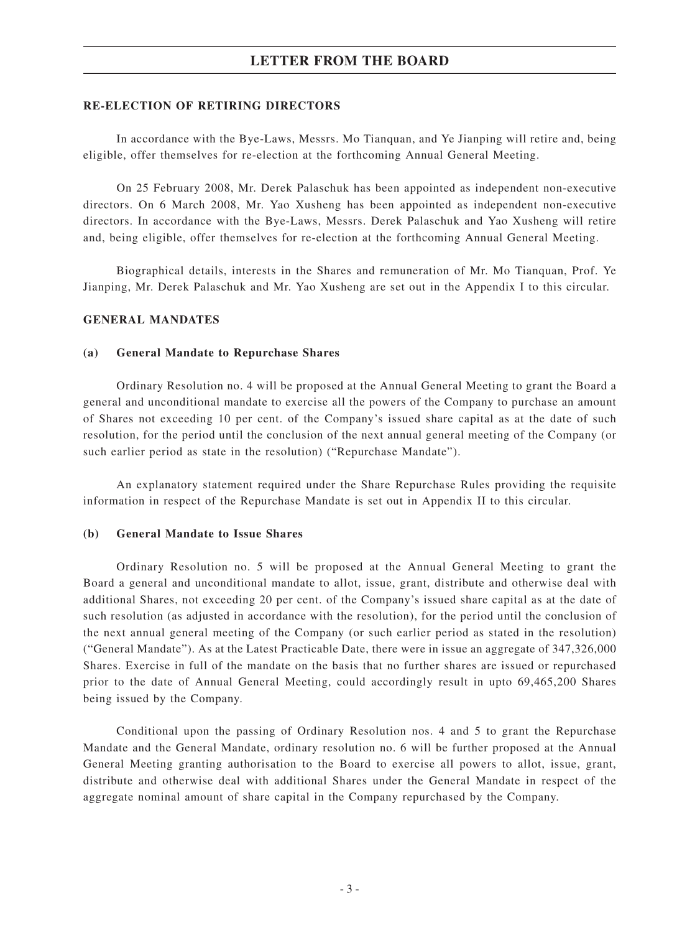## **LETTER FROM THE BOARD**

#### **RE-ELECTION OF RETIRING DIRECTORS**

In accordance with the Bye-Laws, Messrs. Mo Tianquan, and Ye Jianping will retire and, being eligible, offer themselves for re-election at the forthcoming Annual General Meeting.

On 25 February 2008, Mr. Derek Palaschuk has been appointed as independent non-executive directors. On 6 March 2008, Mr. Yao Xusheng has been appointed as independent non-executive directors. In accordance with the Bye-Laws, Messrs. Derek Palaschuk and Yao Xusheng will retire and, being eligible, offer themselves for re-election at the forthcoming Annual General Meeting.

Biographical details, interests in the Shares and remuneration of Mr. Mo Tianquan, Prof. Ye Jianping, Mr. Derek Palaschuk and Mr. Yao Xusheng are set out in the Appendix I to this circular.

#### **GENERAL Mandates**

#### **(a) General Mandate to Repurchase Shares**

Ordinary Resolution no. 4 will be proposed at the Annual General Meeting to grant the Board a general and unconditional mandate to exercise all the powers of the Company to purchase an amount of Shares not exceeding 10 per cent. of the Company's issued share capital as at the date of such resolution, for the period until the conclusion of the next annual general meeting of the Company (or such earlier period as state in the resolution) ("Repurchase Mandate").

An explanatory statement required under the Share Repurchase Rules providing the requisite information in respect of the Repurchase Mandate is set out in Appendix II to this circular.

#### **(b) General Mandate to Issue Shares**

Ordinary Resolution no. 5 will be proposed at the Annual General Meeting to grant the Board a general and unconditional mandate to allot, issue, grant, distribute and otherwise deal with additional Shares, not exceeding 20 per cent. of the Company's issued share capital as at the date of such resolution (as adjusted in accordance with the resolution), for the period until the conclusion of the next annual general meeting of the Company (or such earlier period as stated in the resolution) ("General Mandate"). As at the Latest Practicable Date, there were in issue an aggregate of 347,326,000 Shares. Exercise in full of the mandate on the basis that no further shares are issued or repurchased prior to the date of Annual General Meeting, could accordingly result in upto 69,465,200 Shares being issued by the Company.

Conditional upon the passing of Ordinary Resolution nos. 4 and 5 to grant the Repurchase Mandate and the General Mandate, ordinary resolution no. 6 will be further proposed at the Annual General Meeting granting authorisation to the Board to exercise all powers to allot, issue, grant, distribute and otherwise deal with additional Shares under the General Mandate in respect of the aggregate nominal amount of share capital in the Company repurchased by the Company.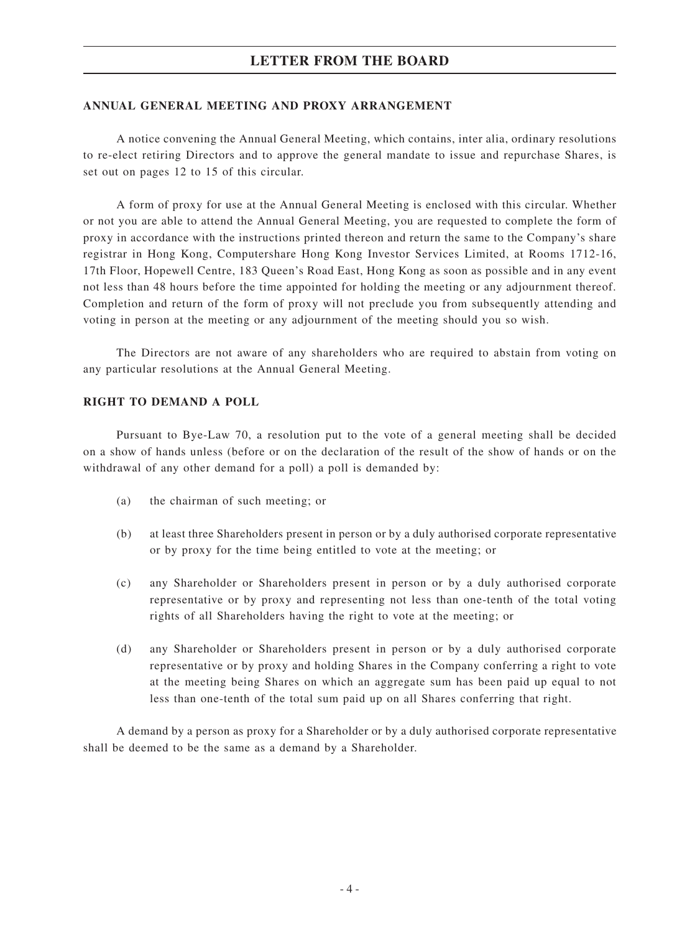### **ANNUAL GENERAL MEETING and proxy arrangement**

A notice convening the Annual General Meeting, which contains, inter alia, ordinary resolutions to re-elect retiring Directors and to approve the general mandate to issue and repurchase Shares, is set out on pages 12 to 15 of this circular.

A form of proxy for use at the Annual General Meeting is enclosed with this circular. Whether or not you are able to attend the Annual General Meeting, you are requested to complete the form of proxy in accordance with the instructions printed thereon and return the same to the Company's share registrar in Hong Kong, Computershare Hong Kong Investor Services Limited, at Rooms 1712-16, 17th Floor, Hopewell Centre, 183 Queen's Road East, Hong Kong as soon as possible and in any event not less than 48 hours before the time appointed for holding the meeting or any adjournment thereof. Completion and return of the form of proxy will not preclude you from subsequently attending and voting in person at the meeting or any adjournment of the meeting should you so wish.

The Directors are not aware of any shareholders who are required to abstain from voting on any particular resolutions at the Annual General Meeting.

#### **RIGHT TO DEMAND A POLL**

Pursuant to Bye-Law 70, a resolution put to the vote of a general meeting shall be decided on a show of hands unless (before or on the declaration of the result of the show of hands or on the withdrawal of any other demand for a poll) a poll is demanded by:

- (a) the chairman of such meeting; or
- (b) at least three Shareholders present in person or by a duly authorised corporate representative or by proxy for the time being entitled to vote at the meeting; or
- (c) any Shareholder or Shareholders present in person or by a duly authorised corporate representative or by proxy and representing not less than one-tenth of the total voting rights of all Shareholders having the right to vote at the meeting; or
- (d) any Shareholder or Shareholders present in person or by a duly authorised corporate representative or by proxy and holding Shares in the Company conferring a right to vote at the meeting being Shares on which an aggregate sum has been paid up equal to not less than one-tenth of the total sum paid up on all Shares conferring that right.

A demand by a person as proxy for a Shareholder or by a duly authorised corporate representative shall be deemed to be the same as a demand by a Shareholder.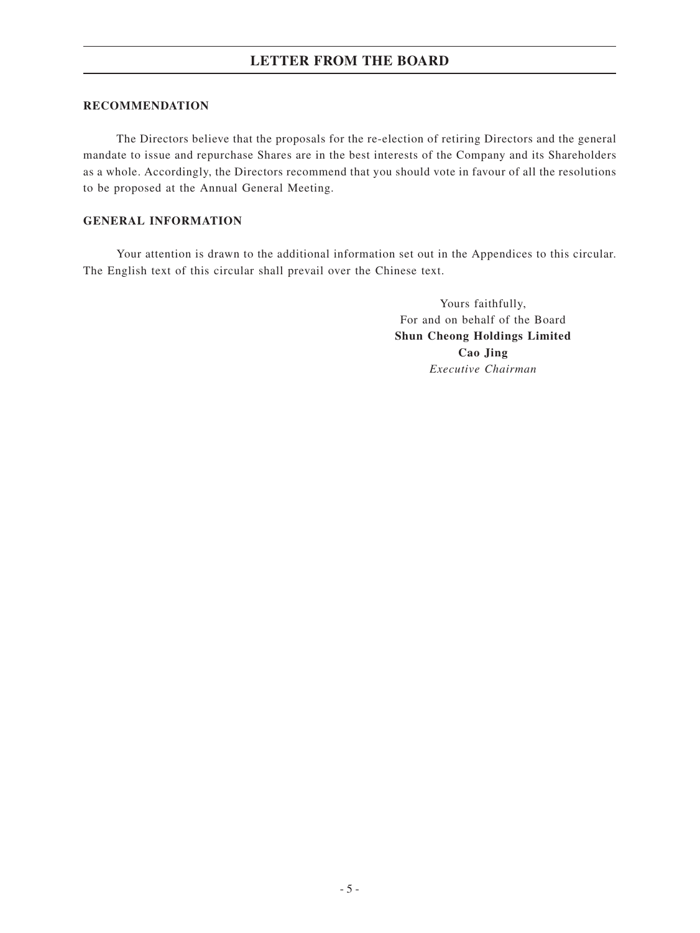### **RECOMMENDATION**

The Directors believe that the proposals for the re-election of retiring Directors and the general mandate to issue and repurchase Shares are in the best interests of the Company and its Shareholders as a whole. Accordingly, the Directors recommend that you should vote in favour of all the resolutions to be proposed at the Annual General Meeting.

### **GENERAL INFORMATION**

Your attention is drawn to the additional information set out in the Appendices to this circular. The English text of this circular shall prevail over the Chinese text.

> Yours faithfully, For and on behalf of the Board **Shun Cheong Holdings Limited Cao Jing** *Executive Chairman*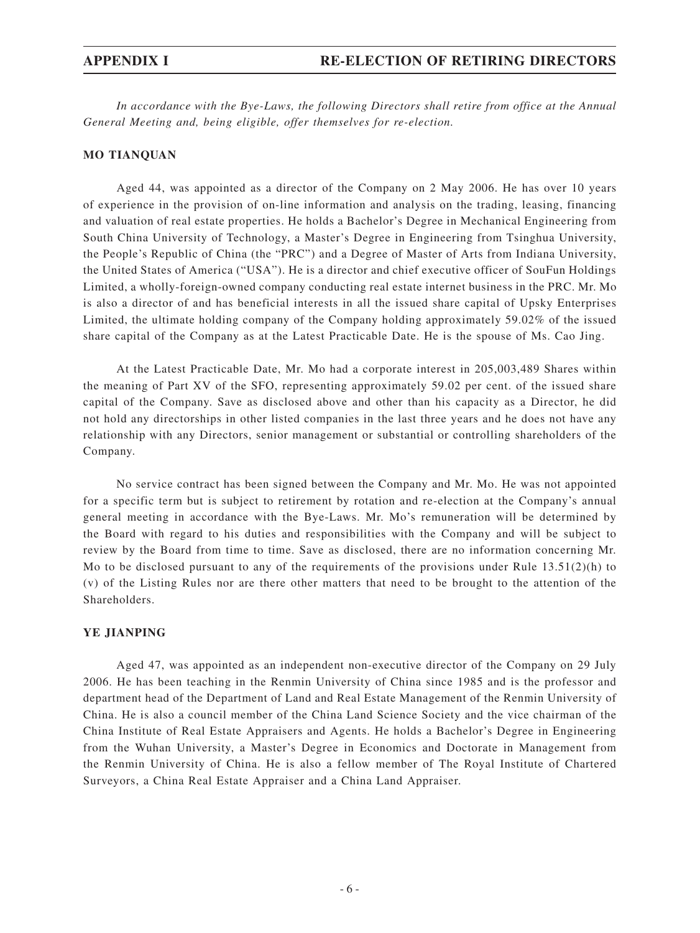*In accordance with the Bye-Laws, the following Directors shall retire from office at the Annual General Meeting and, being eligible, offer themselves for re-election.*

#### **MO Tianquan**

Aged 44, was appointed as a director of the Company on 2 May 2006. He has over 10 years of experience in the provision of on-line information and analysis on the trading, leasing, financing and valuation of real estate properties. He holds a Bachelor's Degree in Mechanical Engineering from South China University of Technology, a Master's Degree in Engineering from Tsinghua University, the People's Republic of China (the "PRC") and a Degree of Master of Arts from Indiana University, the United States of America ("USA"). He is a director and chief executive officer of SouFun Holdings Limited, a wholly-foreign-owned company conducting real estate internet business in the PRC. Mr. Mo is also a director of and has beneficial interests in all the issued share capital of Upsky Enterprises Limited, the ultimate holding company of the Company holding approximately 59.02% of the issued share capital of the Company as at the Latest Practicable Date. He is the spouse of Ms. Cao Jing.

At the Latest Practicable Date, Mr. Mo had a corporate interest in 205,003,489 Shares within the meaning of Part XV of the SFO, representing approximately 59.02 per cent. of the issued share capital of the Company. Save as disclosed above and other than his capacity as a Director, he did not hold any directorships in other listed companies in the last three years and he does not have any relationship with any Directors, senior management or substantial or controlling shareholders of the Company.

No service contract has been signed between the Company and Mr. Mo. He was not appointed for a specific term but is subject to retirement by rotation and re-election at the Company's annual general meeting in accordance with the Bye-Laws. Mr. Mo's remuneration will be determined by the Board with regard to his duties and responsibilities with the Company and will be subject to review by the Board from time to time. Save as disclosed, there are no information concerning Mr. Mo to be disclosed pursuant to any of the requirements of the provisions under Rule  $13.51(2)(h)$  to (v) of the Listing Rules nor are there other matters that need to be brought to the attention of the Shareholders.

#### **YE Jianping**

Aged 47, was appointed as an independent non-executive director of the Company on 29 July 2006. He has been teaching in the Renmin University of China since 1985 and is the professor and department head of the Department of Land and Real Estate Management of the Renmin University of China. He is also a council member of the China Land Science Society and the vice chairman of the China Institute of Real Estate Appraisers and Agents. He holds a Bachelor's Degree in Engineering from the Wuhan University, a Master's Degree in Economics and Doctorate in Management from the Renmin University of China. He is also a fellow member of The Royal Institute of Chartered Surveyors, a China Real Estate Appraiser and a China Land Appraiser.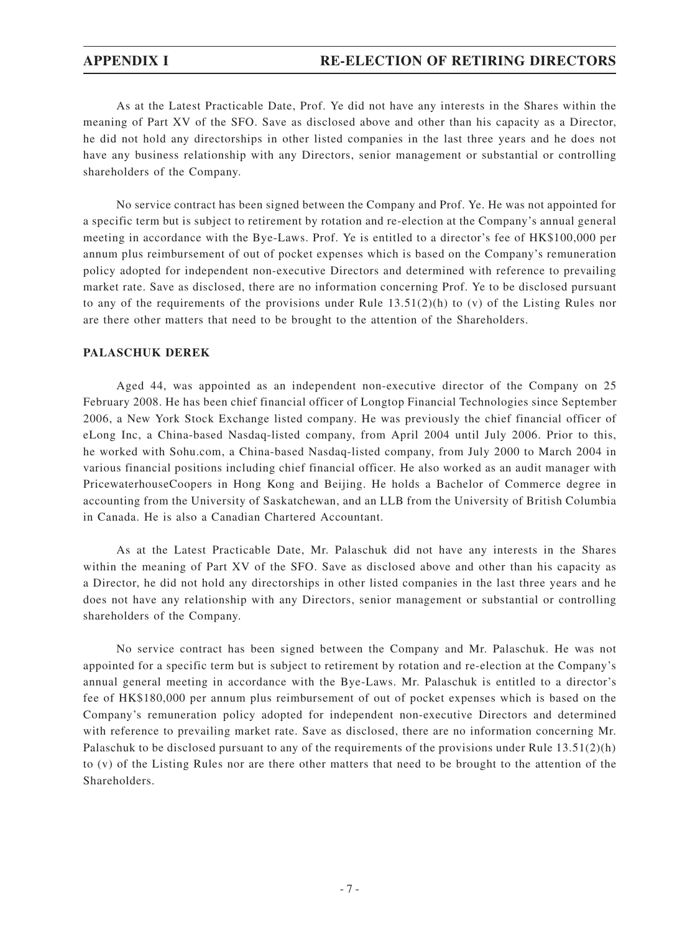As at the Latest Practicable Date, Prof. Ye did not have any interests in the Shares within the meaning of Part XV of the SFO. Save as disclosed above and other than his capacity as a Director, he did not hold any directorships in other listed companies in the last three years and he does not have any business relationship with any Directors, senior management or substantial or controlling shareholders of the Company.

No service contract has been signed between the Company and Prof. Ye. He was not appointed for a specific term but is subject to retirement by rotation and re-election at the Company's annual general meeting in accordance with the Bye-Laws. Prof. Ye is entitled to a director's fee of HK\$100,000 per annum plus reimbursement of out of pocket expenses which is based on the Company's remuneration policy adopted for independent non-executive Directors and determined with reference to prevailing market rate. Save as disclosed, there are no information concerning Prof. Ye to be disclosed pursuant to any of the requirements of the provisions under Rule  $13.51(2)(h)$  to (v) of the Listing Rules nor are there other matters that need to be brought to the attention of the Shareholders.

#### **PALASCHUK Derek**

Aged 44, was appointed as an independent non-executive director of the Company on 25 February 2008. He has been chief financial officer of Longtop Financial Technologies since September 2006, a New York Stock Exchange listed company. He was previously the chief financial officer of eLong Inc, a China-based Nasdaq-listed company, from April 2004 until July 2006. Prior to this, he worked with Sohu.com, a China-based Nasdaq-listed company, from July 2000 to March 2004 in various financial positions including chief financial officer. He also worked as an audit manager with PricewaterhouseCoopers in Hong Kong and Beijing. He holds a Bachelor of Commerce degree in accounting from the University of Saskatchewan, and an LLB from the University of British Columbia in Canada. He is also a Canadian Chartered Accountant.

As at the Latest Practicable Date, Mr. Palaschuk did not have any interests in the Shares within the meaning of Part XV of the SFO. Save as disclosed above and other than his capacity as a Director, he did not hold any directorships in other listed companies in the last three years and he does not have any relationship with any Directors, senior management or substantial or controlling shareholders of the Company.

No service contract has been signed between the Company and Mr. Palaschuk. He was not appointed for a specific term but is subject to retirement by rotation and re-election at the Company's annual general meeting in accordance with the Bye-Laws. Mr. Palaschuk is entitled to a director's fee of HK\$180,000 per annum plus reimbursement of out of pocket expenses which is based on the Company's remuneration policy adopted for independent non-executive Directors and determined with reference to prevailing market rate. Save as disclosed, there are no information concerning Mr. Palaschuk to be disclosed pursuant to any of the requirements of the provisions under Rule 13.51(2)(h) to (v) of the Listing Rules nor are there other matters that need to be brought to the attention of the Shareholders.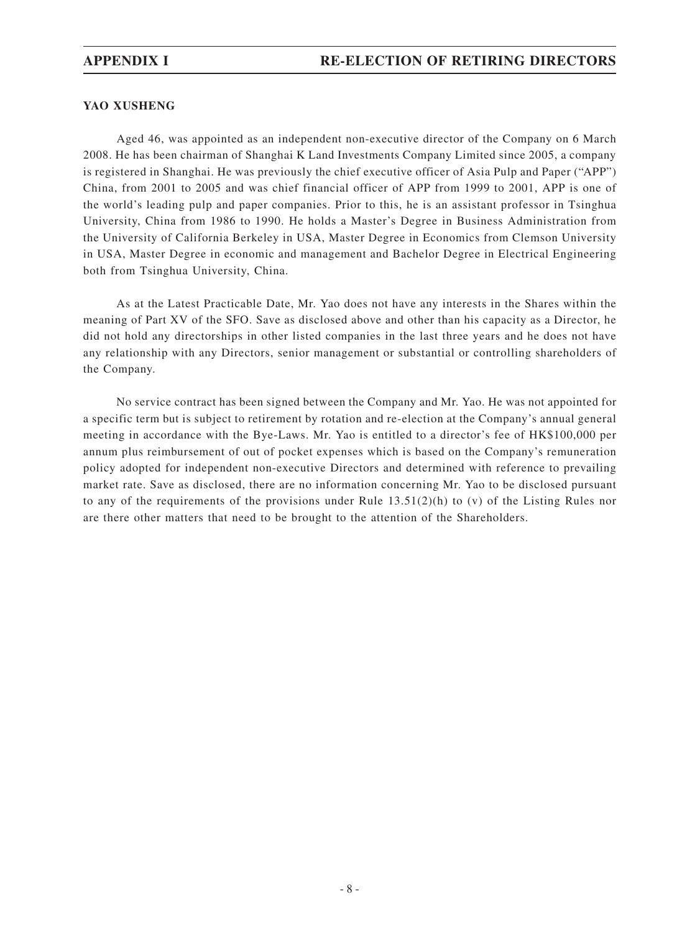### **YAO Xusheng**

Aged 46, was appointed as an independent non-executive director of the Company on 6 March 2008. He has been chairman of Shanghai K Land Investments Company Limited since 2005, a company is registered in Shanghai. He was previously the chief executive officer of Asia Pulp and Paper ("APP") China, from 2001 to 2005 and was chief financial officer of APP from 1999 to 2001, APP is one of the world's leading pulp and paper companies. Prior to this, he is an assistant professor in Tsinghua University, China from 1986 to 1990. He holds a Master's Degree in Business Administration from the University of California Berkeley in USA, Master Degree in Economics from Clemson University in USA, Master Degree in economic and management and Bachelor Degree in Electrical Engineering both from Tsinghua University, China.

As at the Latest Practicable Date, Mr. Yao does not have any interests in the Shares within the meaning of Part XV of the SFO. Save as disclosed above and other than his capacity as a Director, he did not hold any directorships in other listed companies in the last three years and he does not have any relationship with any Directors, senior management or substantial or controlling shareholders of the Company.

No service contract has been signed between the Company and Mr. Yao. He was not appointed for a specific term but is subject to retirement by rotation and re-election at the Company's annual general meeting in accordance with the Bye-Laws. Mr. Yao is entitled to a director's fee of HK\$100,000 per annum plus reimbursement of out of pocket expenses which is based on the Company's remuneration policy adopted for independent non-executive Directors and determined with reference to prevailing market rate. Save as disclosed, there are no information concerning Mr. Yao to be disclosed pursuant to any of the requirements of the provisions under Rule 13.51(2)(h) to (v) of the Listing Rules nor are there other matters that need to be brought to the attention of the Shareholders.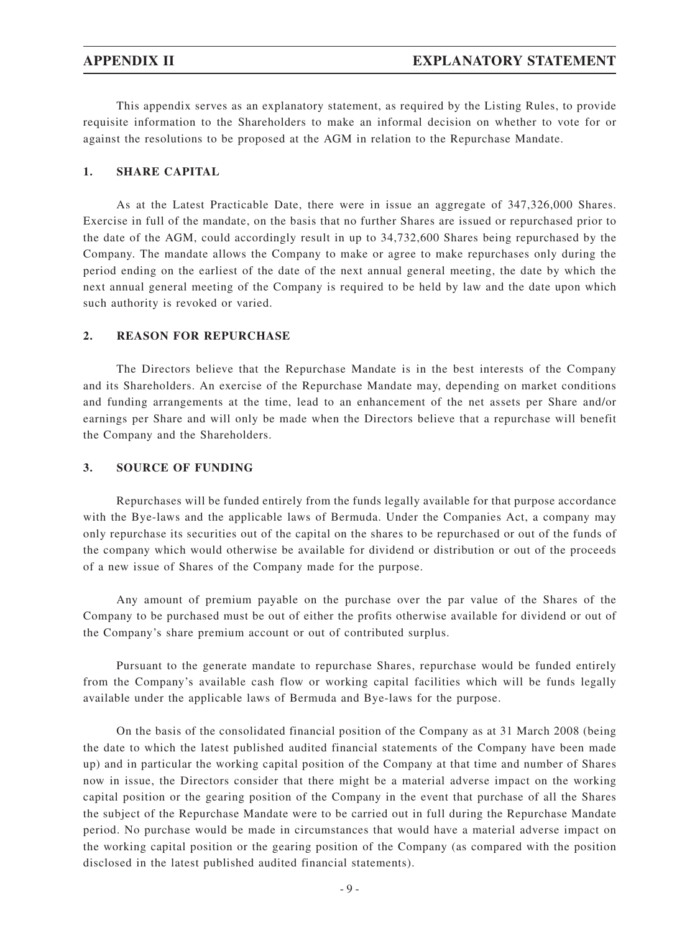This appendix serves as an explanatory statement, as required by the Listing Rules, to provide requisite information to the Shareholders to make an informal decision on whether to vote for or against the resolutions to be proposed at the AGM in relation to the Repurchase Mandate.

#### **1. SHARE CAPITAL**

As at the Latest Practicable Date, there were in issue an aggregate of 347,326,000 Shares. Exercise in full of the mandate, on the basis that no further Shares are issued or repurchased prior to the date of the AGM, could accordingly result in up to 34,732,600 Shares being repurchased by the Company. The mandate allows the Company to make or agree to make repurchases only during the period ending on the earliest of the date of the next annual general meeting, the date by which the next annual general meeting of the Company is required to be held by law and the date upon which such authority is revoked or varied.

#### **2. REASON FOR REPURCHASE**

The Directors believe that the Repurchase Mandate is in the best interests of the Company and its Shareholders. An exercise of the Repurchase Mandate may, depending on market conditions and funding arrangements at the time, lead to an enhancement of the net assets per Share and/or earnings per Share and will only be made when the Directors believe that a repurchase will benefit the Company and the Shareholders.

#### **3. SOURCE OF FUNDING**

Repurchases will be funded entirely from the funds legally available for that purpose accordance with the Bye-laws and the applicable laws of Bermuda. Under the Companies Act, a company may only repurchase its securities out of the capital on the shares to be repurchased or out of the funds of the company which would otherwise be available for dividend or distribution or out of the proceeds of a new issue of Shares of the Company made for the purpose.

Any amount of premium payable on the purchase over the par value of the Shares of the Company to be purchased must be out of either the profits otherwise available for dividend or out of the Company's share premium account or out of contributed surplus.

Pursuant to the generate mandate to repurchase Shares, repurchase would be funded entirely from the Company's available cash flow or working capital facilities which will be funds legally available under the applicable laws of Bermuda and Bye-laws for the purpose.

On the basis of the consolidated financial position of the Company as at 31 March 2008 (being the date to which the latest published audited financial statements of the Company have been made up) and in particular the working capital position of the Company at that time and number of Shares now in issue, the Directors consider that there might be a material adverse impact on the working capital position or the gearing position of the Company in the event that purchase of all the Shares the subject of the Repurchase Mandate were to be carried out in full during the Repurchase Mandate period. No purchase would be made in circumstances that would have a material adverse impact on the working capital position or the gearing position of the Company (as compared with the position disclosed in the latest published audited financial statements).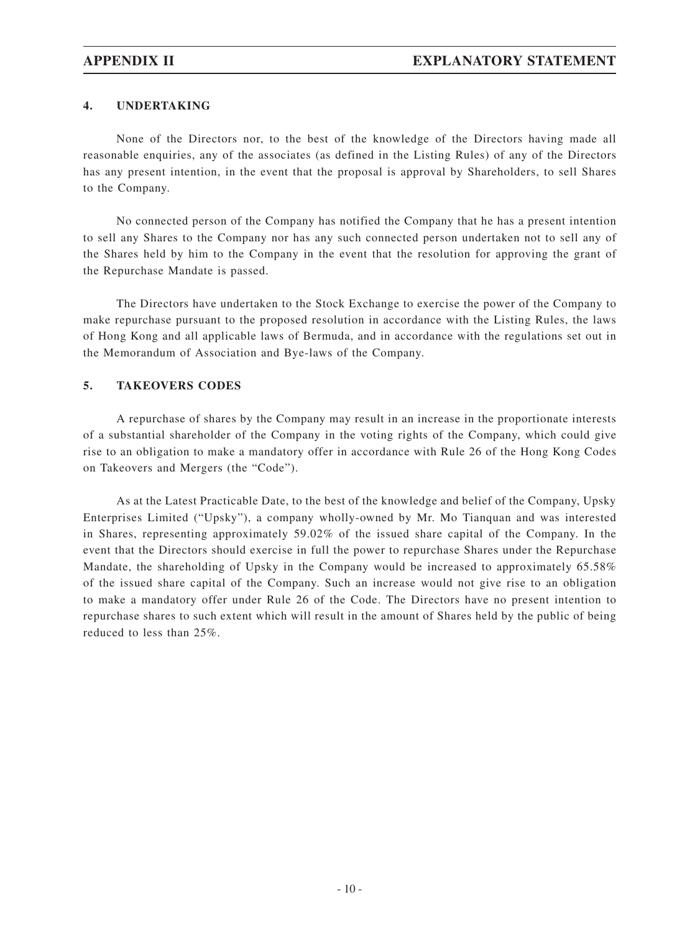### **4. UNDERTAKING**

None of the Directors nor, to the best of the knowledge of the Directors having made all reasonable enquiries, any of the associates (as defined in the Listing Rules) of any of the Directors has any present intention, in the event that the proposal is approval by Shareholders, to sell Shares to the Company.

No connected person of the Company has notified the Company that he has a present intention to sell any Shares to the Company nor has any such connected person undertaken not to sell any of the Shares held by him to the Company in the event that the resolution for approving the grant of the Repurchase Mandate is passed.

The Directors have undertaken to the Stock Exchange to exercise the power of the Company to make repurchase pursuant to the proposed resolution in accordance with the Listing Rules, the laws of Hong Kong and all applicable laws of Bermuda, and in accordance with the regulations set out in the Memorandum of Association and Bye-laws of the Company.

### **5. TAKEOVERS CODES**

A repurchase of shares by the Company may result in an increase in the proportionate interests of a substantial shareholder of the Company in the voting rights of the Company, which could give rise to an obligation to make a mandatory offer in accordance with Rule 26 of the Hong Kong Codes on Takeovers and Mergers (the "Code").

As at the Latest Practicable Date, to the best of the knowledge and belief of the Company, Upsky Enterprises Limited ("Upsky"), a company wholly-owned by Mr. Mo Tianquan and was interested in Shares, representing approximately 59.02% of the issued share capital of the Company. In the event that the Directors should exercise in full the power to repurchase Shares under the Repurchase Mandate, the shareholding of Upsky in the Company would be increased to approximately 65.58% of the issued share capital of the Company. Such an increase would not give rise to an obligation to make a mandatory offer under Rule 26 of the Code. The Directors have no present intention to repurchase shares to such extent which will result in the amount of Shares held by the public of being reduced to less than 25%.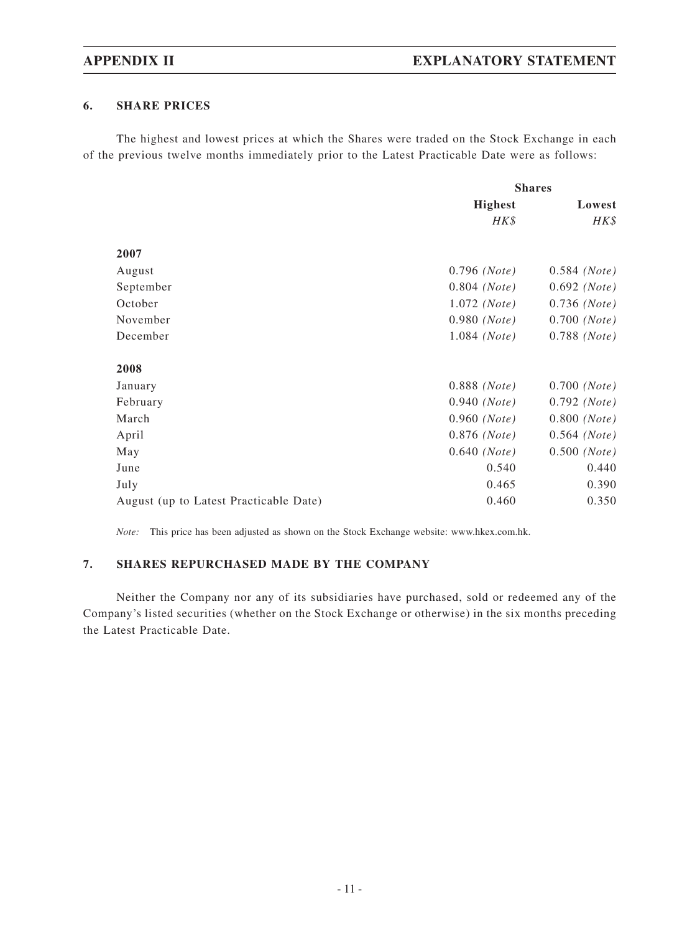### **6. SHARE PRICES**

The highest and lowest prices at which the Shares were traded on the Stock Exchange in each of the previous twelve months immediately prior to the Latest Practicable Date were as follows:

|                                        | <b>Shares</b>           |                         |
|----------------------------------------|-------------------------|-------------------------|
|                                        | <b>Highest</b>          | Lowest                  |
|                                        | HK\$                    | HK\$                    |
| 2007                                   |                         |                         |
| August                                 | $0.796$ (Note)          | $0.584$ (Note)          |
| September                              | $0.804$ (Note)          | $0.692$ ( <i>Note</i> ) |
| October                                | $1.072$ (Note)          | $0.736$ ( <i>Note</i> ) |
| November                               | $0.980$ (Note)          | $0.700$ (Note)          |
| December                               | $1.084$ (Note)          | $0.788$ ( <i>Note</i> ) |
| 2008                                   |                         |                         |
| January                                | $0.888$ ( <i>Note</i> ) | $0.700$ ( <i>Note</i> ) |
| February                               | $0.940$ (Note)          | $0.792$ ( <i>Note</i> ) |
| March                                  | $0.960$ (Note)          | $0.800$ (Note)          |
| April                                  | $0.876$ (Note)          | $0.564$ (Note)          |
| May                                    | $0.640$ (Note)          | $0.500$ (Note)          |
| June                                   | 0.540                   | 0.440                   |
| July                                   | 0.465                   | 0.390                   |
| August (up to Latest Practicable Date) | 0.460                   | 0.350                   |

*Note:* This price has been adjusted as shown on the Stock Exchange website: www.hkex.com.hk.

### **7. SHARES REPURCHASED MADE BY THE COMPANY**

Neither the Company nor any of its subsidiaries have purchased, sold or redeemed any of the Company's listed securities (whether on the Stock Exchange or otherwise) in the six months preceding the Latest Practicable Date.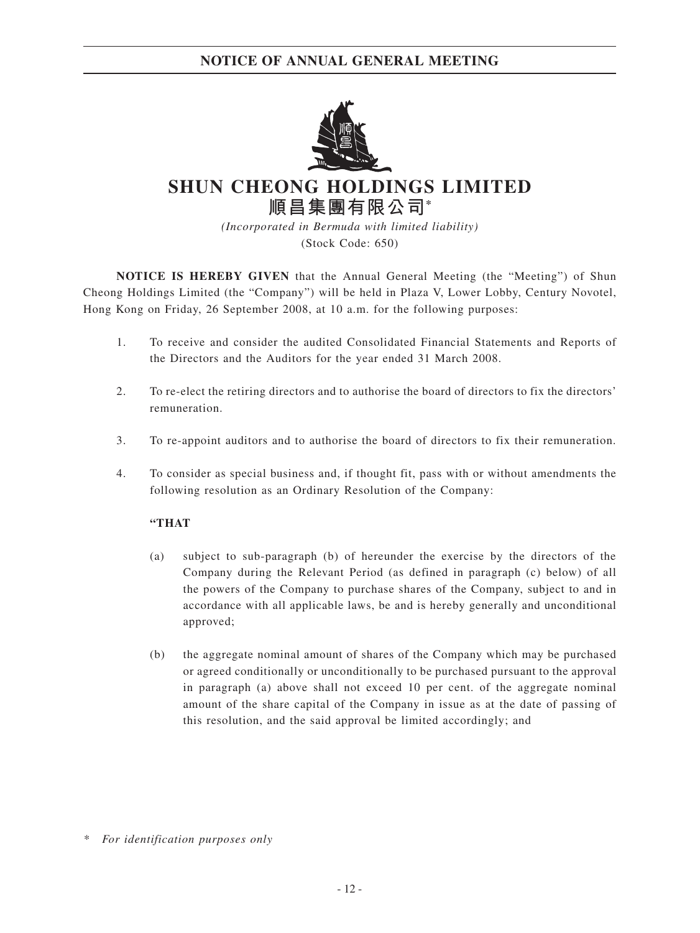

# **SHUN CHEONG HOLDINGS LIMITED 順昌集團有限公司\***

*(Incorporated in Bermuda with limited liability)* (Stock Code: 650)

**NOTICE IS HEREBY GIVEN** that the Annual General Meeting (the "Meeting") of Shun Cheong Holdings Limited (the "Company") will be held in Plaza V, Lower Lobby, Century Novotel, Hong Kong on Friday, 26 September 2008, at 10 a.m. for the following purposes:

- 1. To receive and consider the audited Consolidated Financial Statements and Reports of the Directors and the Auditors for the year ended 31 March 2008.
- 2. To re-elect the retiring directors and to authorise the board of directors to fix the directors' remuneration.
- 3. To re-appoint auditors and to authorise the board of directors to fix their remuneration.
- 4. To consider as special business and, if thought fit, pass with or without amendments the following resolution as an Ordinary Resolution of the Company:

### **"THAT**

- (a) subject to sub-paragraph (b) of hereunder the exercise by the directors of the Company during the Relevant Period (as defined in paragraph (c) below) of all the powers of the Company to purchase shares of the Company, subject to and in accordance with all applicable laws, be and is hereby generally and unconditional approved;
- (b) the aggregate nominal amount of shares of the Company which may be purchased or agreed conditionally or unconditionally to be purchased pursuant to the approval in paragraph (a) above shall not exceed 10 per cent. of the aggregate nominal amount of the share capital of the Company in issue as at the date of passing of this resolution, and the said approval be limited accordingly; and

*<sup>\*</sup> For identification purposes only*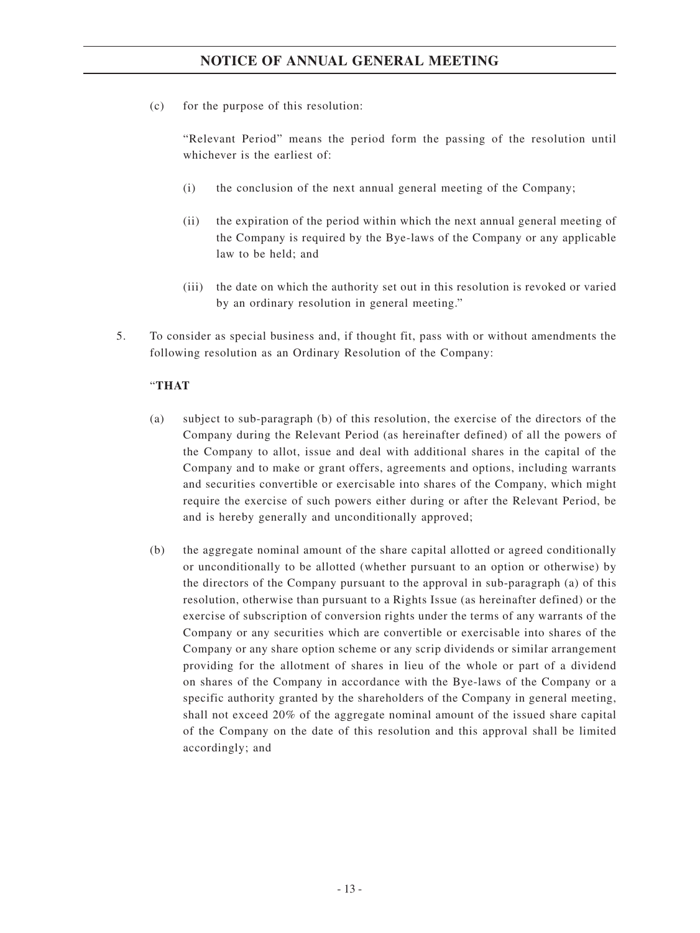(c) for the purpose of this resolution:

"Relevant Period" means the period form the passing of the resolution until whichever is the earliest of:

- (i) the conclusion of the next annual general meeting of the Company;
- (ii) the expiration of the period within which the next annual general meeting of the Company is required by the Bye-laws of the Company or any applicable law to be held; and
- (iii) the date on which the authority set out in this resolution is revoked or varied by an ordinary resolution in general meeting."
- 5. To consider as special business and, if thought fit, pass with or without amendments the following resolution as an Ordinary Resolution of the Company:

### "**THAT**

- (a) subject to sub-paragraph (b) of this resolution, the exercise of the directors of the Company during the Relevant Period (as hereinafter defined) of all the powers of the Company to allot, issue and deal with additional shares in the capital of the Company and to make or grant offers, agreements and options, including warrants and securities convertible or exercisable into shares of the Company, which might require the exercise of such powers either during or after the Relevant Period, be and is hereby generally and unconditionally approved;
- (b) the aggregate nominal amount of the share capital allotted or agreed conditionally or unconditionally to be allotted (whether pursuant to an option or otherwise) by the directors of the Company pursuant to the approval in sub-paragraph (a) of this resolution, otherwise than pursuant to a Rights Issue (as hereinafter defined) or the exercise of subscription of conversion rights under the terms of any warrants of the Company or any securities which are convertible or exercisable into shares of the Company or any share option scheme or any scrip dividends or similar arrangement providing for the allotment of shares in lieu of the whole or part of a dividend on shares of the Company in accordance with the Bye-laws of the Company or a specific authority granted by the shareholders of the Company in general meeting, shall not exceed 20% of the aggregate nominal amount of the issued share capital of the Company on the date of this resolution and this approval shall be limited accordingly; and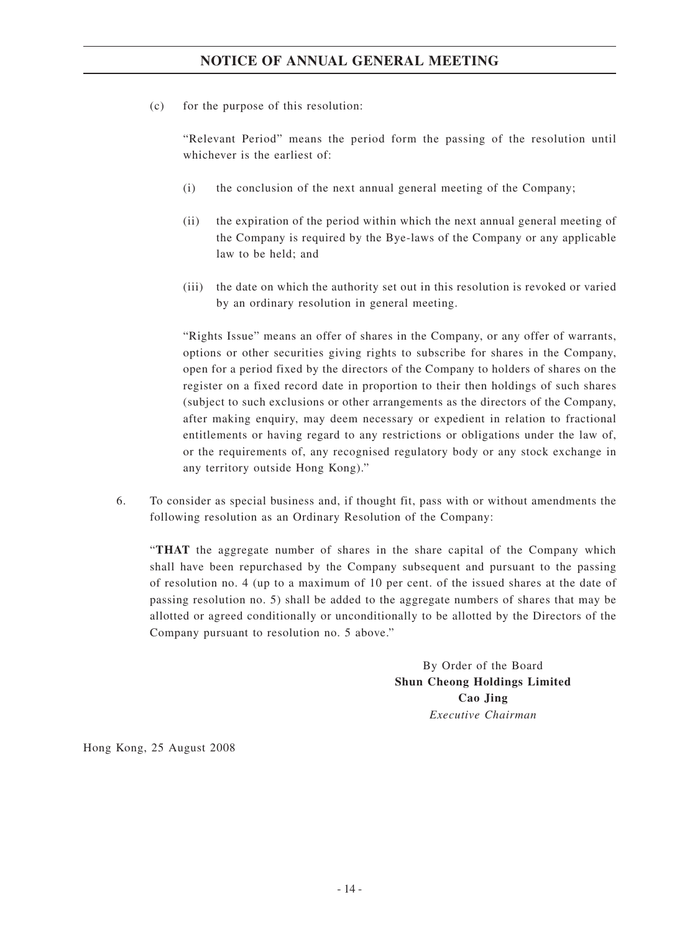(c) for the purpose of this resolution:

"Relevant Period" means the period form the passing of the resolution until whichever is the earliest of:

- (i) the conclusion of the next annual general meeting of the Company;
- (ii) the expiration of the period within which the next annual general meeting of the Company is required by the Bye-laws of the Company or any applicable law to be held; and
- (iii) the date on which the authority set out in this resolution is revoked or varied by an ordinary resolution in general meeting.

"Rights Issue" means an offer of shares in the Company, or any offer of warrants, options or other securities giving rights to subscribe for shares in the Company, open for a period fixed by the directors of the Company to holders of shares on the register on a fixed record date in proportion to their then holdings of such shares (subject to such exclusions or other arrangements as the directors of the Company, after making enquiry, may deem necessary or expedient in relation to fractional entitlements or having regard to any restrictions or obligations under the law of, or the requirements of, any recognised regulatory body or any stock exchange in any territory outside Hong Kong)."

6. To consider as special business and, if thought fit, pass with or without amendments the following resolution as an Ordinary Resolution of the Company:

"**THAT** the aggregate number of shares in the share capital of the Company which shall have been repurchased by the Company subsequent and pursuant to the passing of resolution no. 4 (up to a maximum of 10 per cent. of the issued shares at the date of passing resolution no. 5) shall be added to the aggregate numbers of shares that may be allotted or agreed conditionally or unconditionally to be allotted by the Directors of the Company pursuant to resolution no. 5 above."

> By Order of the Board **Shun Cheong Holdings Limited Cao Jing** *Executive Chairman*

Hong Kong, 25 August 2008